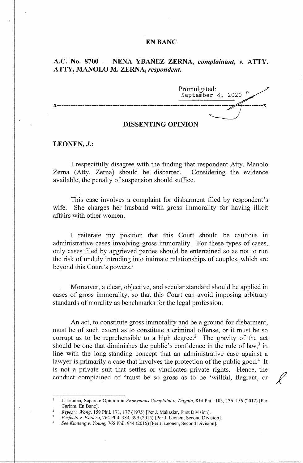### **EN BANC**

# A.C. No. 8700 - **NENA YBAÑEZ ZERNA**, *complainant*, *v.* ATTY. **ATTY~ MANOLO M. ZERNA,** *respondent.*

Promulgated: September 8, 2020  $\sqrt{ }$ **x----------------------------------------------------------------------------** - **---------x** 

## **DISSENTING OPINION**

## **LEONEN, J.:**

I respectfully disagree with the finding that respondent Atty. Manolo Zema (Atty. Zerna) should be disbarred. Considering the evidence available, the penalty of suspension should suffice.

This case involves a complaint for disbarment filed by respondent's wife. She charges her husband with gross immorality for having illicit affairs with other women.

I reiterate my position that this Court should be cautious in administrative cases involving gross immorality. For these types of cases, only cases filed by aggrieved parties should be entertained so as not to run the risk of unduly intruding into intimate relationships of couples, which are beyond this Court's powers.<sup>1</sup>

Moreover, a clear, objective, and secular standard should be applied in cases of gross immorality, so that this Court can avoid imposing arbitrary standards of morality as benchmarks for the legal profession.

An act, to constitute gross immorality and be a ground for disbarment, must be of such extent as to constitute a criminal offense, or it must be so corrupt as to be reprehensible to a high degree.<sup>2</sup> The gravity of the act should be one that diminishes the public's confidence in the rule of law,  $3$  in line with the long-standing concept that an administrative case against a lawyer is primarily a case that involves the protection of the public good.<sup>4</sup> It is not a private suit that settles or vindicates private rights. Hence, the conduct complained of "must be so gross as to be 'willful, flagrant, or

J. Leonen, Separate Opinion in *Anonymous Complaint v. Dagala,* 814 Phil. 103, 136-156 (2017) [Per

Reyes v. Wong, 159 Phil. 171, 177 (1975) [Per J. Makasiar, First Division].<br>Perfecto v. Esidera, 764 Phil. 384, 399 (2015) [Per J. Leonen, Second Division].

<sup>4</sup>*See Kimtengv. Young,* 765 Phil. 944 (2015) [Per J. Leonen, Second Division].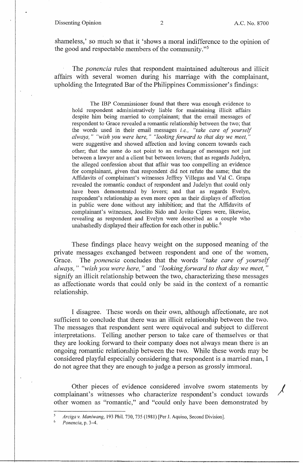### Dissenting Opinion 2 A.C. No. 8700

*I* 

shameless,' so much so that it 'shows a moral indifference to the opinion of the good and respectable members of the community."<sup>5</sup>

The *ponencia* rules that respondent maintained adulterous and illicit affairs with several women during his marriage with the complainant, upholding the Integrated Bar of the Philippines Commissioner's findings:

The IBP Commissioner found that there was enough evidence to hold respondent administratively liable for maintaining illicit affairs despite him being married to complainant; that the email messages of respondent to Grace revealed a romantic relationship between the two; that the words used in their email messages *i.e., "take care of yourself always," "wish you were here," "looking forward to that day we meet,"*  were suggestive and showed affection and loving concern towards each other; that the same do not point to an exchange of messages not just between a lawyer and a client but between lovers; that as regards Judelyn, the alleged confession about that affair was too compelling an evidence for complainant, given that respondent did not refute the same; that the Affidavits of complainant's witnesses Jeffrey Villegas and Val C. Grapa revealed the romantic conduct of respondent and Judelyn that could only have been demonstrated by lovers; and that as regards Evelyn, respondent's relationship as even more open as their displays of affection in public were done without any inhibition; and that the Affidavits of complainant's witnesses, Joselito Sido and Jovito Cipres were, likewise, revealing as respondent and Evelyn were described as a couple who unabashedly displayed their affection for each other in public.<sup>6</sup>

These findings place heavy weight on the supposed meaning of the private messages exchanged between respondent and one of the women, Grace. The *ponencia* concludes that the words *"take care of yourself always," "wish you were here,"* and *"looking forward to that day we meet,"*  signify an illicit relationship between the two, characterizing these messages as affectionate words that could only be said in the context of a romantic relationship.

I disagree. These words on their own, although affectionate, are not sufficient to conclude that there was an illicit relationship between the two. The messages that respondent sent were equivocal and subject to different interpretations. Telling another person to take care of themselves or that they are looking forward to their company does not always mean there is an ongoing romantic relationship between the two. While these words may be considered playful especially considering that respondent is a married man, I do not agree that they are enough to judge a person as grossly immoral.

Other pieces of evidence considered involve sworn statements by complainant's witnesses who characterize respondent's conduct towards other women as "romantic," and "could only have been demonstrated by

*<sup>5</sup> Arciga v. Maniwang,* 193 Phil. 730, 735 (1981) [Per J. Aquino, Second Division].

*Ponencia*, p. 3-4.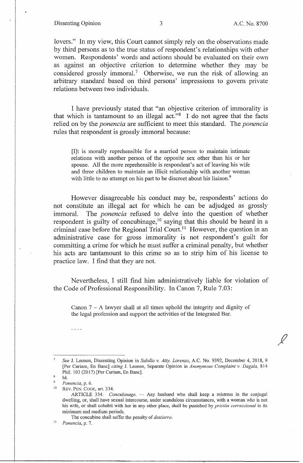### Dissenting Opinion 3 A.C. No. 8700

lovers." In my view, this Court cannot simply rely on the observations made by third persons as to the true status of respondent's relationships with other women. Respondents' words and actions should be evaluated on their own as against an objective criterion to detennine whether they may be considered grossly immoral.<sup>7</sup> Otherwise, we run the risk of allowing an arbitrary standard based on third persons' impressions to govern private relations between two individuals.

I have previously stated that "an objective criterion of immorality is that which is tantamount to an illegal act." $8$  I do not agree that the facts relied on by the *ponencia* are sufficient to meet this standard. The *ponencia*  rules that respondent is grossly immoral because:

[I]t is morally reprehensible for a married person to maintain intimate relations with another person of the opposite sex other than his or her spouse. All the more reprehensible is respondent's act of leaving his wife and three children to maintain an illicit relationship with another woman with little to no attempt on his part to be discreet about his liaison.<sup>9</sup>

However disagreeable his conduct may be, respondents' actions do not constitute an illegal act for which he can be adjudged as grossly immoral. The *ponencia* refused to delve into the question of whether respondent is guilty of concubinage,  $10^{\circ}$  saying that this should be heard in a criminal case before the Regional Trial Court.<sup>11</sup> However, the question in an administrative case for gross immorality is not respondent's guilt for committing a crime for which he must suffer a criminal penalty, but whether his acts are tantamount to this crime so as to strip him of his license to practice law. I find that they are not.

Nevertheless, I still find him administratively liable for violation of the Code of Professional Responsibility. In Canon 7, Rule 7.03:

Canon  $7 - A$  lawyer shall at all times uphold the integrity and dignity of the legal profession and support the activities of the Integrated Bar.

 $\sim 100$ 

The concubine shall suffer the penalty of *destierro.* 11 *Ponencia,* p. 7.

*See* J. Leonen, Dissenting Opinion in *Sabillo v. Atty. Lorenzo,* A.C. No. 9392, December 4, 2018, 9 [Per Curiam, En Banc] *citing J. Leonen, Separate Opinion in Anonymous Complaint v. Dagala, 814* Phil. 103 (2017) [Per Curiam, En Banc].

 $\mathbf{R}$ Id.

 $^{9}$  *Ponencia*, p. 6.<br><sup>10</sup> **PEV PEN COD** 

REV. PEN. CODE, art. 334.

ARTICLE 334. *Concubinage*. - Any husband who shall keep a mistress in the conjugal dwelling, or, shall have sexual intercourse, under scandalous circumstances, with a woman who is not his wife, or shall cohabit with her in any other place, shall be punished by *prisi6n correccional* in its minimum and medium periods.